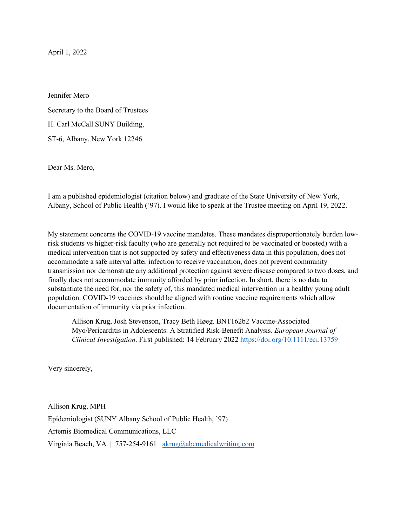April 1, 2022

Jennifer Mero Secretary to the Board of Trustees H. Carl McCall SUNY Building, ST-6, Albany, New York 12246

Dear Ms. Mero,

I am a published epidemiologist (citation below) and graduate of the State University of New York, Albany, School of Public Health ('97). I would like to speak at the Trustee meeting on April 19, 2022.

My statement concerns the COVID-19 vaccine mandates. These mandates disproportionately burden lowrisk students vs higher-risk faculty (who are generally not required to be vaccinated or boosted) with a medical intervention that is not supported by safety and effectiveness data in this population, does not accommodate a safe interval after infection to receive vaccination, does not prevent community transmission nor demonstrate any additional protection against severe disease compared to two doses, and finally does not accommodate immunity afforded by prior infection. In short, there is no data to substantiate the need for, nor the safety of, this mandated medical intervention in a healthy young adult population. COVID-19 vaccines should be aligned with routine vaccine requirements which allow documentation of immunity via prior infection.

Allison Krug, Josh Stevenson, Tracy Beth Høeg. BNT162b2 Vaccine-Associated Myo/Pericarditis in Adolescents: A Stratified Risk-Benefit Analysis. *European Journal of Clinical Investigation*. First published: 14 February 2022<https://doi.org/10.1111/eci.13759>

Very sincerely,

Allison Krug, MPH Epidemiologist (SUNY Albany School of Public Health, '97) Artemis Biomedical Communications, LLC Virginia Beach, VA | 757-254-9161  $akrug@abemedicalwriting.com$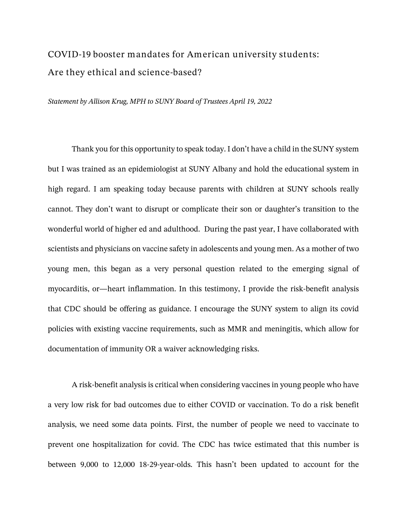# COVID-19 booster mandates for American university students: Are they ethical and science-based?

*Statement by Allison Krug, MPH to SUNY Board of Trustees April 19, 2022*

Thank you for this opportunity to speak today. I don't have a child in the SUNY system but I was trained as an epidemiologist at SUNY Albany and hold the educational system in high regard. I am speaking today because parents with children at SUNY schools really cannot. They don't want to disrupt or complicate their son or daughter's transition to the wonderful world of higher ed and adulthood. During the past year, I have collaborated with scientists and physicians on vaccine safety in adolescents and young men. As a mother of two young men, this began as a very personal question related to the emerging signal of myocarditis, or—heart inflammation. In this testimony, I provide the risk-benefit analysis that CDC should be offering as guidance. I encourage the SUNY system to align its covid policies with existing vaccine requirements, such as MMR and meningitis, which allow for documentation of immunity OR a waiver acknowledging risks.

A risk-benefit analysis is critical when considering vaccines in young people who have a very low risk for bad outcomes due to either COVID or vaccination. To do a risk benefit analysis, we need some data points. First, the number of people we need to vaccinate to prevent one hospitalization for covid. The CDC has twice estimated that this number is between 9,000 to 12,000 18-29-year-olds. This hasn't been updated to account for the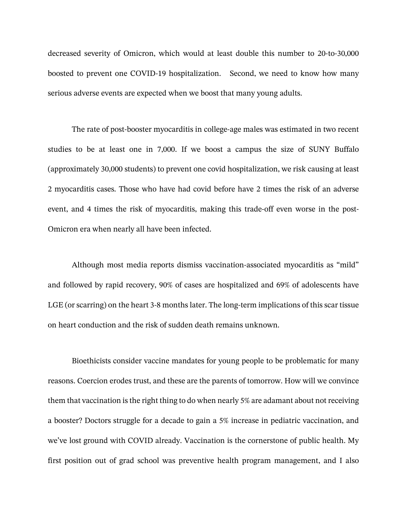decreased severity of Omicron, which would at least double this number to 20-to-30,000 boosted to prevent one COVID-19 hospitalization. Second, we need to know how many serious adverse events are expected when we boost that many young adults.

The rate of post-booster myocarditis in college-age males was estimated in two recent studies to be at least one in 7,000. If we boost a campus the size of SUNY Buffalo (approximately 30,000 students) to prevent one covid hospitalization, we risk causing at least 2 myocarditis cases. Those who have had covid before have 2 times the risk of an adverse event, and 4 times the risk of myocarditis, making this trade-off even worse in the post-Omicron era when nearly all have been infected.

Although most media reports dismiss vaccination-associated myocarditis as "mild" and followed by rapid recovery, 90% of cases are hospitalized and 69% of adolescents have LGE (or scarring) on the heart 3-8 months later. The long-term implications of this scar tissue on heart conduction and the risk of sudden death remains unknown.

Bioethicists consider vaccine mandates for young people to be problematic for many reasons. Coercion erodes trust, and these are the parents of tomorrow. How will we convince them that vaccination is the right thing to do when nearly 5% are adamant about not receiving a booster? Doctors struggle for a decade to gain a 5% increase in pediatric vaccination, and we've lost ground with COVID already. Vaccination is the cornerstone of public health. My first position out of grad school was preventive health program management, and I also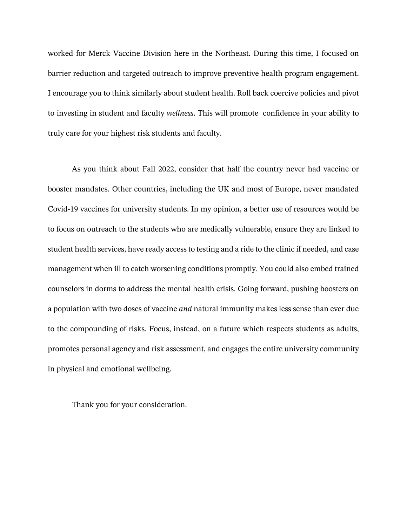worked for Merck Vaccine Division here in the Northeast. During this time, I focused on barrier reduction and targeted outreach to improve preventive health program engagement. I encourage you to think similarly about student health. Roll back coercive policies and pivot to investing in student and faculty *wellness*. This will promote confidence in your ability to truly care for your highest risk students and faculty.

As you think about Fall 2022, consider that half the country never had vaccine or booster mandates. Other countries, including the UK and most of Europe, never mandated Covid-19 vaccines for university students. In my opinion, a better use of resources would be to focus on outreach to the students who are medically vulnerable, ensure they are linked to student health services, have ready access to testing and a ride to the clinic if needed, and case management when ill to catch worsening conditions promptly. You could also embed trained counselors in dorms to address the mental health crisis. Going forward, pushing boosters on a population with two doses of vaccine *and* natural immunity makes less sense than ever due to the compounding of risks. Focus, instead, on a future which respects students as adults, promotes personal agency and risk assessment, and engages the entire university community in physical and emotional wellbeing.

Thank you for your consideration.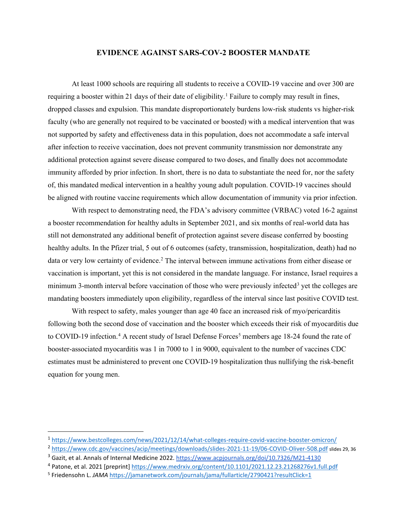### **EVIDENCE AGAINST SARS-COV-2 BOOSTER MANDATE**

At least 1000 schools are requiring all students to receive a COVID-19 vaccine and over 300 are requiring a booster within 2[1](#page-4-0) days of their date of eligibility.<sup>1</sup> Failure to comply may result in fines, dropped classes and expulsion. This mandate disproportionately burdens low-risk students vs higher-risk faculty (who are generally not required to be vaccinated or boosted) with a medical intervention that was not supported by safety and effectiveness data in this population, does not accommodate a safe interval after infection to receive vaccination, does not prevent community transmission nor demonstrate any additional protection against severe disease compared to two doses, and finally does not accommodate immunity afforded by prior infection. In short, there is no data to substantiate the need for, nor the safety of, this mandated medical intervention in a healthy young adult population. COVID-19 vaccines should be aligned with routine vaccine requirements which allow documentation of immunity via prior infection.

With respect to demonstrating need, the FDA's advisory committee (VRBAC) voted 16-2 against a booster recommendation for healthy adults in September 2021, and six months of real-world data has still not demonstrated any additional benefit of protection against severe disease conferred by boosting healthy adults. In the Pfizer trial, 5 out of 6 outcomes (safety, transmission, hospitalization, death) had no data or very low certainty of evidence. [2](#page-4-1) The interval between immune activations from either disease or vaccination is important, yet this is not considered in the mandate language. For instance, Israel requires a minimum [3](#page-4-2)-month interval before vaccination of those who were previously infected<sup>3</sup> yet the colleges are mandating boosters immediately upon eligibility, regardless of the interval since last positive COVID test.

With respect to safety, males younger than age 40 face an increased risk of myo/pericarditis following both the second dose of vaccination and the booster which exceeds their risk of myocarditis due to COVID-19 infection.<sup>[4](#page-4-3)</sup> A recent study of Israel Defense Forces<sup>[5](#page-4-4)</sup> members age 18-24 found the rate of booster-associated myocarditis was 1 in 7000 to 1 in 9000, equivalent to the number of vaccines CDC estimates must be administered to prevent one COVID-19 hospitalization thus nullifying the risk-benefit equation for young men.

<span id="page-4-0"></span><sup>1</sup> <https://www.bestcolleges.com/news/2021/12/14/what-colleges-require-covid-vaccine-booster-omicron/>

<span id="page-4-1"></span><sup>2</sup> <https://www.cdc.gov/vaccines/acip/meetings/downloads/slides-2021-11-19/06-COVID-Oliver-508.pdf> slides 29, 36

<span id="page-4-2"></span><sup>&</sup>lt;sup>3</sup> Gazit, et al. Annals of Internal Medicine 2022.<https://www.acpjournals.org/doi/10.7326/M21-4130>

<span id="page-4-3"></span><sup>4</sup> Patone, et al. 2021 [preprint]<https://www.medrxiv.org/content/10.1101/2021.12.23.21268276v1.full.pdf>

<span id="page-4-4"></span><sup>5</sup> Friedensohn L. *JAMA* <https://jamanetwork.com/journals/jama/fullarticle/2790421?resultClick=1>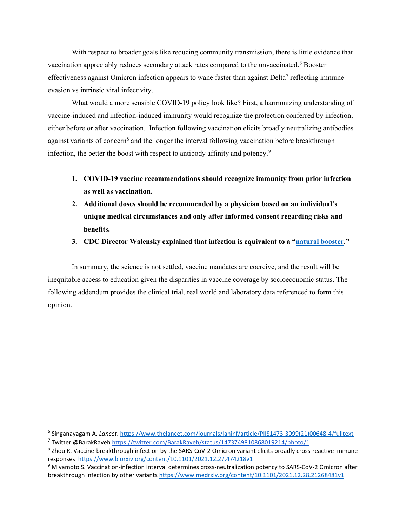With respect to broader goals like reducing community transmission, there is little evidence that vaccination appreciably reduces secondary attack rates compared to the unvaccinated. [6](#page-5-0) Booster effectiveness against Omicron infection appears to wane faster than against Delta<sup>7</sup> reflecting immune evasion vs intrinsic viral infectivity.

What would a more sensible COVID-19 policy look like? First, a harmonizing understanding of vaccine-induced and infection-induced immunity would recognize the protection conferred by infection, either before or after vaccination. Infection following vaccination elicits broadly neutralizing antibodies against variants of concern<sup>[8](#page-5-2)</sup> and the longer the interval following vaccination before breakthrough infection, the better the boost with respect to antibody affinity and potency.[9](#page-5-3)

- **1. COVID-19 vaccine recommendations should recognize immunity from prior infection as well as vaccination.**
- **2. Additional doses should be recommended by a physician based on an individual's unique medical circumstances and only after informed consent regarding risks and benefits.**
- **3. CDC Director Walensky explained that infection is equivalent to a ["natural booster.](https://www.nbcnews.com/health/health-news/cdc-director-explains-needs-2nd-covid-vaccine-booster-rcna22920)"**

In summary, the science is not settled, vaccine mandates are coercive, and the result will be inequitable access to education given the disparities in vaccine coverage by socioeconomic status. The following addendum provides the clinical trial, real world and laboratory data referenced to form this opinion.

<span id="page-5-0"></span><sup>6</sup> Singanayagam A. *Lancet*. [https://www.thelancet.com/journals/laninf/article/PIIS1473-3099\(21\)00648-4/fulltext](https://www.thelancet.com/journals/laninf/article/PIIS1473-3099(21)00648-4/fulltext)

<span id="page-5-1"></span><sup>7</sup> Twitter @BarakRaveh<https://twitter.com/BarakRaveh/status/1473749810868019214/photo/1>

<span id="page-5-2"></span><sup>8</sup> Zhou R. Vaccine-breakthrough infection by the SARS-CoV-2 Omicron variant elicits broadly cross-reactive immune responses <https://www.biorxiv.org/content/10.1101/2021.12.27.474218v1>

<span id="page-5-3"></span><sup>9</sup> Miyamoto S. Vaccination-infection interval determines cross-neutralization potency to SARS-CoV-2 Omicron after breakthrough infection by other variants <https://www.medrxiv.org/content/10.1101/2021.12.28.21268481v1>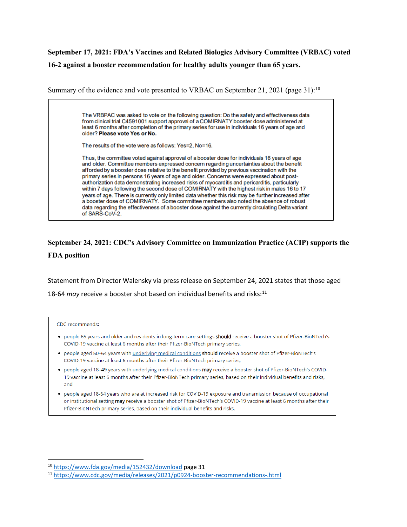## **September 17, 2021: FDA's Vaccines and Related Biologics Advisory Committee (VRBAC) voted 16-2 against a booster recommendation for healthy adults younger than 65 years.**

Summary of the evidence and vote presented to VRBAC on September 21, 2021 (page 31):<sup>[10](#page-6-0)</sup>

The VRBPAC was asked to vote on the following question: Do the safety and effectiveness data from clinical trial C4591001 support approval of a COMIRNATY booster dose administered at least 6 months after completion of the primary series for use in individuals 16 years of age and older? Please vote Yes or No.

The results of the vote were as follows: Yes=2, No=16.

Thus, the committee voted against approval of a booster dose for individuals 16 years of age and older. Committee members expressed concern regarding uncertainties about the benefit afforded by a booster dose relative to the benefit provided by previous vaccination with the primary series in persons 16 years of age and older. Concerns were expressed about postauthorization data demonstrating increased risks of myocarditis and pericarditis, particularly within 7 days following the second dose of COMIRNATY with the highest risk in males 16 to 17 years of age. There is currently only limited data whether this risk may be further increased after a booster dose of COMIRNATY. Some committee members also noted the absence of robust data regarding the effectiveness of a booster dose against the currently circulating Delta variant of SARS-CoV-2.

## **September 24, 2021: CDC's Advisory Committee on Immunization Practice (ACIP) supports the FDA position**

Statement from Director Walensky via press release on September 24, 2021 states that those aged

18-64 *may* receive a booster shot based on individual benefits and risks: [11](#page-6-1)

CDC recommends:

- . people 65 years and older and residents in long-term care settings should receive a booster shot of Pfizer-BioNTech's COVID-19 vaccine at least 6 months after their Pfizer-BioNTech primary series,
- people aged 50-64 years with underlying medical conditions should receive a booster shot of Pfizer-BioNTech's COVID-19 vaccine at least 6 months after their Pfizer-BioNTech primary series,
- people aged 18–49 years with underlying medical conditions may receive a booster shot of Pfizer-BioNTech's COVID-19 vaccine at least 6 months after their Pfizer-BioNTech primary series, based on their individual benefits and risks, and
- people aged 18-64 years who are at increased risk for COVID-19 exposure and transmission because of occupational or institutional setting may receive a booster shot of Pfizer-BioNTech's COVID-19 vaccine at least 6 months after their Pfizer-BioNTech primary series, based on their individual benefits and risks.

<span id="page-6-0"></span><sup>10</sup> <https://www.fda.gov/media/152432/download> page 31

<span id="page-6-1"></span><sup>11</sup> <https://www.cdc.gov/media/releases/2021/p0924-booster-recommendations-.html>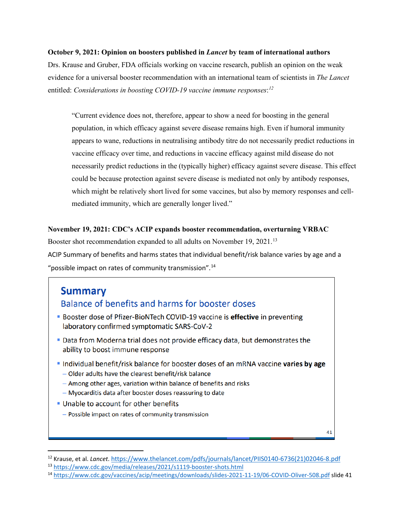#### **October 9, 2021: Opinion on boosters published in** *Lancet* **by team of international authors**

Drs. Krause and Gruber, FDA officials working on vaccine research, publish an opinion on the weak evidence for a universal booster recommendation with an international team of scientists in *The Lancet* entitled: *Considerations in boosting COVID-19 vaccine immune responses*: *[12](#page-7-0)*

"Current evidence does not, therefore, appear to show a need for boosting in the general population, in which efficacy against severe disease remains high. Even if humoral immunity appears to wane, reductions in neutralising antibody titre do not necessarily predict reductions in vaccine efficacy over time, and reductions in vaccine efficacy against mild disease do not necessarily predict reductions in the (typically higher) efficacy against severe disease. This effect could be because protection against severe disease is mediated not only by antibody responses, which might be relatively short lived for some vaccines, but also by memory responses and cellmediated immunity, which are generally longer lived."

#### **November 19, 2021: CDC's ACIP expands booster recommendation, overturning VRBAC**

Booster shot recommendation expanded to all adults on November 19, 2021.<sup>[13](#page-7-1)</sup> ACIP Summary of benefits and harms states that individual benefit/risk balance varies by age and a "possible impact on rates of community transmission". [14](#page-7-2)

# **Summary**

## Balance of benefits and harms for booster doses

- **Booster dose of Pfizer-BioNTech COVID-19 vaccine is effective in preventing** laboratory confirmed symptomatic SARS-CoV-2
- . Data from Moderna trial does not provide efficacy data, but demonstrates the ability to boost immune response
- Individual benefit/risk balance for booster doses of an mRNA vaccine varies by age
	- Older adults have the clearest benefit/risk balance
	- Among other ages, variation within balance of benefits and risks
	- Myocarditis data after booster doses reassuring to date
- **Unable to account for other benefits** 
	- Possible impact on rates of community transmission

41

<span id="page-7-0"></span><sup>12</sup> Krause, et al. *Lancet*. [https://www.thelancet.com/pdfs/journals/lancet/PIIS0140-6736\(21\)02046-8.pdf](https://www.thelancet.com/pdfs/journals/lancet/PIIS0140-6736(21)02046-8.pdf)

<span id="page-7-1"></span><sup>13</sup> <https://www.cdc.gov/media/releases/2021/s1119-booster-shots.html>

<span id="page-7-2"></span><sup>14</sup> <https://www.cdc.gov/vaccines/acip/meetings/downloads/slides-2021-11-19/06-COVID-Oliver-508.pdf> slide 41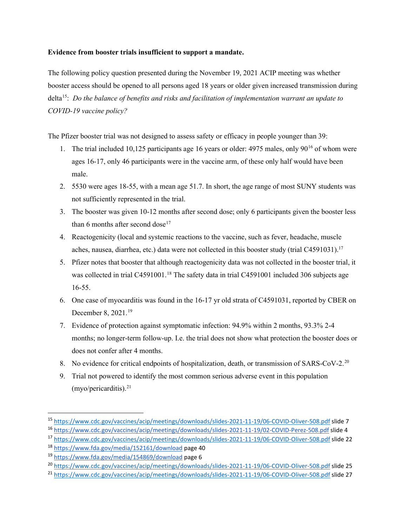### **Evidence from booster trials insufficient to support a mandate.**

The following policy question presented during the November 19, 2021 ACIP meeting was whether booster access should be opened to all persons aged 18 years or older given increased transmission during delta[15:](#page-8-0) *Do the balance of benefits and risks and facilitation of implementation warrant an update to COVID-19 vaccine policy?* 

The Pfizer booster trial was not designed to assess safety or efficacy in people younger than 39:

- 1. The trial included 10,125 participants age [16](#page-8-1) years or older:  $4975$  males, only  $90^{16}$  of whom were ages 16-17, only 46 participants were in the vaccine arm, of these only half would have been male.
- 2. 5530 were ages 18-55, with a mean age 51.7. In short, the age range of most SUNY students was not sufficiently represented in the trial.
- 3. The booster was given 10-12 months after second dose; only 6 participants given the booster less than 6 months after second dose<sup>[17](#page-8-2)</sup>
- 4. Reactogenicity (local and systemic reactions to the vaccine, such as fever, headache, muscle aches, nausea, diarrhea, etc.) data were not collected in this booster study (trial  $C4591031$ ).<sup>17</sup>
- 5. Pfizer notes that booster that although reactogenicity data was not collected in the booster trial, it was collected in trial C4591001.<sup>[18](#page-8-3)</sup> The safety data in trial C4591001 included 306 subjects age 16-55.
- 6. One case of myocarditis was found in the 16-17 yr old strata of C4591031, reported by CBER on December 8, 2021.[19](#page-8-4)
- 7. Evidence of protection against symptomatic infection: 94.9% within 2 months, 93.3% 2-4 months; no longer-term follow-up. I.e. the trial does not show what protection the booster does or does not confer after 4 months.
- 8. No evidence for critical endpoints of hospitalization, death, or transmission of SARS-CoV-2.<sup>[20](#page-8-5)</sup>
- 9. Trial not powered to identify the most common serious adverse event in this population (myo/pericarditis). $21$

<span id="page-8-0"></span><sup>15</sup> <https://www.cdc.gov/vaccines/acip/meetings/downloads/slides-2021-11-19/06-COVID-Oliver-508.pdf> slide 7

<span id="page-8-1"></span><sup>16</sup> <https://www.cdc.gov/vaccines/acip/meetings/downloads/slides-2021-11-19/02-COVID-Perez-508.pdf> slide 4

<span id="page-8-2"></span><sup>17</sup> <https://www.cdc.gov/vaccines/acip/meetings/downloads/slides-2021-11-19/06-COVID-Oliver-508.pdf> slide 22

<span id="page-8-3"></span><sup>18</sup> <https://www.fda.gov/media/152161/download> page 40

<span id="page-8-4"></span><sup>19</sup> <https://www.fda.gov/media/154869/download> page 6

<span id="page-8-5"></span><sup>20</sup> <https://www.cdc.gov/vaccines/acip/meetings/downloads/slides-2021-11-19/06-COVID-Oliver-508.pdf> slide 25

<span id="page-8-6"></span><sup>21</sup> <https://www.cdc.gov/vaccines/acip/meetings/downloads/slides-2021-11-19/06-COVID-Oliver-508.pdf> slide 27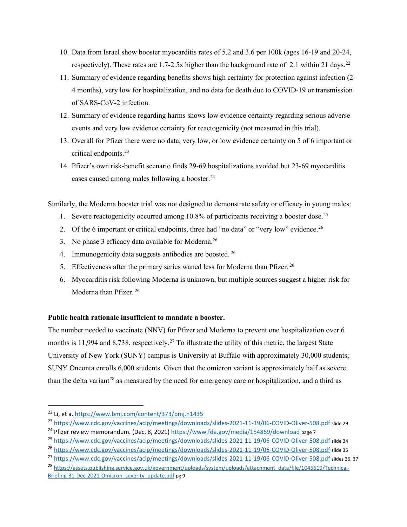- 10. Data from Israel show booster myocarditis rates of 5.2 and 3.6 per 100k (ages 16-19 and 20-24, respectively). These rates are  $1.7$ -2.5x higher than the background rate of 2.1 within 21 days.<sup>[22](#page-9-0)</sup>
- 11. Summary of evidence regarding benefits shows high certainty for protection against infection (2- 4 months), very low for hospitalization, and no data for death due to COVID-19 or transmission of SARS-CoV-2 infection.
- 12. Summary of evidence regarding harms shows low evidence certainty regarding serious adverse events and very low evidence certainty for reactogenicity (not measured in this trial).
- 13. Overall for Pfizer there were no data, very low, or low evidence certainty on 5 of 6 important or critical endpoints.[23](#page-9-1)
- 14. Pfizer's own risk-benefit scenario finds 29-69 hospitalizations avoided but 23-69 myocarditis cases caused among males following a booster.<sup>[24](#page-9-2)</sup>

Similarly, the Moderna booster trial was not designed to demonstrate safety or efficacy in young males:

- 1. Severe reactogenicity occurred among 10.8% of participants receiving a booster dose.<sup>[25](#page-9-3)</sup>
- 2. Of the 6 important or critical endpoints, three had "no data" or "very low" evidence.<sup>[26](#page-9-4)</sup>
- 3. No phase 3 efficacy data available for Moderna.26
- 4. Immunogenicity data suggests antibodies are boosted.<sup>26</sup>
- 5. Effectiveness after the primary series waned less for Moderna than Pfizer.<sup>26</sup>
- 6. Myocarditis risk following Moderna is unknown, but multiple sources suggest a higher risk for Moderna than Pfizer. <sup>26</sup>

#### **Public health rationale insufficient to mandate a booster.**

The number needed to vaccinate (NNV) for Pfizer and Moderna to prevent one hospitalization over 6 months is 11,994 and 8,738, respectively.<sup>[27](#page-9-5)</sup> To illustrate the utility of this metric, the largest State University of New York (SUNY) campus is University at Buffalo with approximately 30,000 students; SUNY Oneonta enrolls 6,000 students. Given that the omicron variant is approximately half as severe than the delta variant<sup>[28](#page-9-6)</sup> as measured by the need for emergency care or hospitalization, and a third as

<span id="page-9-0"></span><sup>22</sup> Li, et a.<https://www.bmj.com/content/373/bmj.n1435>

<span id="page-9-1"></span><sup>&</sup>lt;sup>23</sup> <https://www.cdc.gov/vaccines/acip/meetings/downloads/slides-2021-11-19/06-COVID-Oliver-508.pdf> slide 29

<span id="page-9-2"></span><sup>&</sup>lt;sup>24</sup> Pfizer review memorandum. (Dec. 8, 2021)<https://www.fda.gov/media/154869/download> page 7

<span id="page-9-3"></span><sup>&</sup>lt;sup>25</sup> <https://www.cdc.gov/vaccines/acip/meetings/downloads/slides-2021-11-19/06-COVID-Oliver-508.pdf> slide 34

<span id="page-9-4"></span><sup>26</sup> <https://www.cdc.gov/vaccines/acip/meetings/downloads/slides-2021-11-19/06-COVID-Oliver-508.pdf> slide 35

<span id="page-9-5"></span><sup>27</sup> <https://www.cdc.gov/vaccines/acip/meetings/downloads/slides-2021-11-19/06-COVID-Oliver-508.pdf> slides 36, 37

<span id="page-9-6"></span><sup>28</sup> [https://assets.publishing.service.gov.uk/government/uploads/system/uploads/attachment\\_data/file/1045619/Technical-](https://assets.publishing.service.gov.uk/government/uploads/system/uploads/attachment_data/file/1045619/Technical-Briefing-31-Dec-2021-Omicron_severity_update.pdf)[Briefing-31-Dec-2021-Omicron\\_severity\\_update.pdf](https://assets.publishing.service.gov.uk/government/uploads/system/uploads/attachment_data/file/1045619/Technical-Briefing-31-Dec-2021-Omicron_severity_update.pdf) pg 9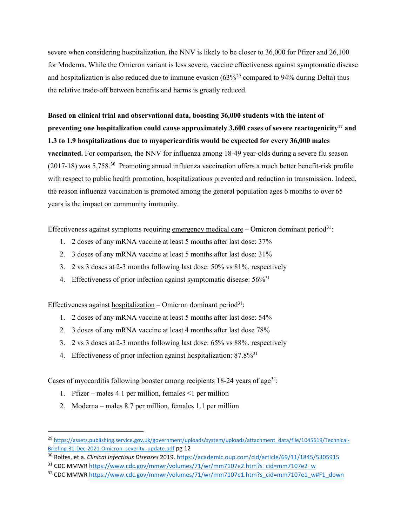severe when considering hospitalization, the NNV is likely to be closer to 36,000 for Pfizer and 26,100 for Moderna. While the Omicron variant is less severe, vaccine effectiveness against symptomatic disease and hospitalization is also reduced due to immune evasion  $(63\%^{29}$  $(63\%^{29}$  $(63\%^{29}$  compared to 94% during Delta) thus the relative trade-off between benefits and harms is greatly reduced.

**Based on clinical trial and observational data, boosting 36,000 students with the intent of preventing one hospitalization could cause approximately 3,600 cases of severe reactogenicity17 and 1.3 to 1.9 hospitalizations due to myopericarditis would be expected for every 36,000 males vaccinated.** For comparison, the NNV for influenza among 18-49 year-olds during a severe flu season  $(2017-18)$  was 5,758.<sup>30</sup> Promoting annual influenza vaccination offers a much better benefit-risk profile with respect to public health promotion, hospitalizations prevented and reduction in transmission. Indeed, the reason influenza vaccination is promoted among the general population ages 6 months to over 65 years is the impact on community immunity.

Effectiveness against symptoms requiring emergency medical care – Omicron dominant period<sup>31</sup>:

- 1. 2 doses of any mRNA vaccine at least 5 months after last dose: 37%
- 2. 3 doses of any mRNA vaccine at least 5 months after last dose: 31%
- 3. 2 vs 3 doses at 2-3 months following last dose: 50% vs 81%, respectively
- 4. Effectiveness of prior infection against symptomatic disease:  $56\%^{31}$

Effectiveness against **hospitalization** – Omicron dominant period<sup>31</sup>:

- 1. 2 doses of any mRNA vaccine at least 5 months after last dose: 54%
- 2. 3 doses of any mRNA vaccine at least 4 months after last dose 78%
- 3. 2 vs 3 doses at 2-3 months following last dose: 65% vs 88%, respectively
- 4. Effectiveness of prior infection against hospitalization:  $87.8\%$ <sup>31</sup>

Cases of myocarditis following booster among recipients  $18-24$  years of age<sup>32</sup>:

- 1. Pfizer males 4.1 per million, females <1 per million
- 2. Moderna males 8.7 per million, females 1.1 per million

<span id="page-10-0"></span><sup>&</sup>lt;sup>29</sup> [https://assets.publishing.service.gov.uk/government/uploads/system/uploads/attachment\\_data/file/1045619/Technical-](https://assets.publishing.service.gov.uk/government/uploads/system/uploads/attachment_data/file/1045619/Technical-Briefing-31-Dec-2021-Omicron_severity_update.pdf)[Briefing-31-Dec-2021-Omicron\\_severity\\_update.pdf](https://assets.publishing.service.gov.uk/government/uploads/system/uploads/attachment_data/file/1045619/Technical-Briefing-31-Dec-2021-Omicron_severity_update.pdf) pg 12

<span id="page-10-1"></span><sup>30</sup> Rolfes, et a. *Clinical Infectious Diseases* 2019.<https://academic.oup.com/cid/article/69/11/1845/5305915>

<span id="page-10-2"></span><sup>31</sup> CDC MMWR [https://www.cdc.gov/mmwr/volumes/71/wr/mm7107e2.htm?s\\_cid=mm7107e2\\_w](https://www.cdc.gov/mmwr/volumes/71/wr/mm7107e2.htm?s_cid=mm7107e2_w)

<span id="page-10-3"></span><sup>&</sup>lt;sup>32</sup> CDC MMWR [https://www.cdc.gov/mmwr/volumes/71/wr/mm7107e1.htm?s\\_cid=mm7107e1\\_w#F1\\_down](https://www.cdc.gov/mmwr/volumes/71/wr/mm7107e1.htm?s_cid=mm7107e1_w#F1_down)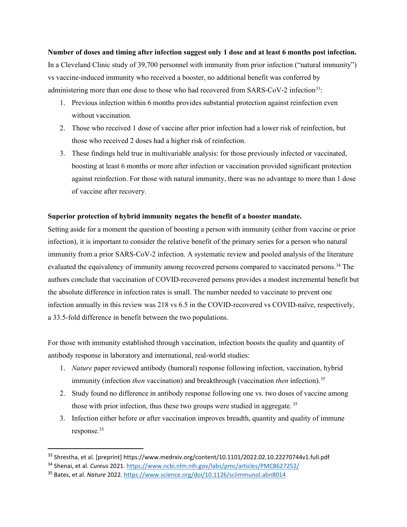**Number of doses and timing after infection suggest only 1 dose and at least 6 months post infection.** In a Cleveland Clinic study of 39,700 personnel with immunity from prior infection ("natural immunity") vs vaccine-induced immunity who received a booster, no additional benefit was conferred by administering more than one dose to those who had recovered from SARS-CoV-2 infection<sup>[33](#page-11-0)</sup>:

- 1. Previous infection within 6 months provides substantial protection against reinfection even without vaccination.
- 2. Those who received 1 dose of vaccine after prior infection had a lower risk of reinfection, but those who received 2 doses had a higher risk of reinfection.
- 3. These findings held true in multivariable analysis: for those previously infected or vaccinated, boosting at least 6 months or more after infection or vaccination provided significant protection against reinfection. For those with natural immunity, there was no advantage to more than 1 dose of vaccine after recovery.

### **Superior protection of hybrid immunity negates the benefit of a booster mandate.**

Setting aside for a moment the question of boosting a person with immunity (either from vaccine or prior infection), it is important to consider the relative benefit of the primary series for a person who natural immunity from a prior SARS-CoV-2 infection. A systematic review and pooled analysis of the literature evaluated the equivalency of immunity among recovered persons compared to vaccinated persons.<sup>[34](#page-11-1)</sup> The authors conclude that vaccination of COVID-recovered persons provides a modest incremental benefit but the absolute difference in infection rates is small. The number needed to vaccinate to prevent one infection annually in this review was 218 vs 6.5 in the COVID-recovered vs COVID-naïve, respectively, a 33.5-fold difference in benefit between the two populations.

For those with immunity established through vaccination, infection boosts the quality and quantity of antibody response in laboratory and international, real-world studies:

- 1. *Nature* paper reviewed antibody (humoral) response following infection, vaccination, hybrid immunity (infection *then* vaccination) and breakthrough (vaccination *then* infection).<sup>[35](#page-11-2)</sup>
- 2. Study found no difference in antibody response following one vs. two doses of vaccine among those with prior infection, thus these two groups were studied in aggregate.<sup>35</sup>
- 3. Infection either before or after vaccination improves breadth, quantity and quality of immune response.35

<span id="page-11-0"></span><sup>33</sup> Shrestha, et al. [preprint] https://www.medrxiv.org/content/10.1101/2022.02.10.22270744v1.full.pdf

<span id="page-11-1"></span><sup>34</sup> Shenai, et al. *Cureus* 2021[. https://www.ncbi.nlm.nih.gov/labs/pmc/articles/PMC8627252/](https://www.ncbi.nlm.nih.gov/labs/pmc/articles/PMC8627252/)

<span id="page-11-2"></span><sup>35</sup> Bates, et al. *Nature* 2022[. https://www.science.org/doi/10.1126/sciimmunol.abn8014](https://www.science.org/doi/10.1126/sciimmunol.abn8014)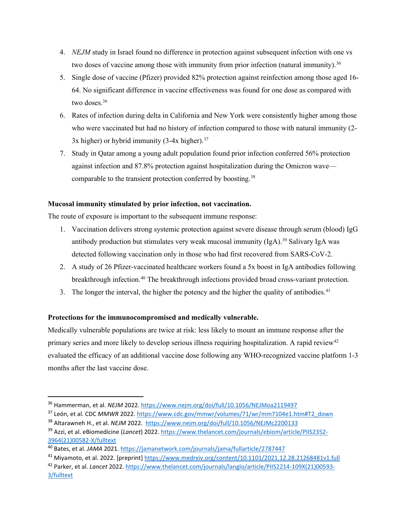- 4. *NEJM* study in Israel found no difference in protection against subsequent infection with one vs two doses of vaccine among those with immunity from prior infection (natural immunity).<sup>[36](#page-12-0)</sup>
- 5. Single dose of vaccine (Pfizer) provided 82% protection against reinfection among those aged 16- 64. No significant difference in vaccine effectiveness was found for one dose as compared with two doses.<sup>36</sup>
- 6. Rates of infection during delta in California and New York were consistently higher among those who were vaccinated but had no history of infection compared to those with natural immunity (2- 3x higher) or hybrid immunity  $(3-4x)$  higher).<sup>[37](#page-12-1)</sup>
- 7. Study in Qatar among a young adult population found prior infection conferred 56% protection against infection and 87.8% protection against hospitalization during the Omicron wave— comparable to the transient protection conferred by boosting.<sup>[38](#page-12-2)</sup>

### **Mucosal immunity stimulated by prior infection, not vaccination.**

The route of exposure is important to the subsequent immune response:

- 1. Vaccination delivers strong systemic protection against severe disease through serum (blood) IgG antibody production but stimulates very weak mucosal immunity  $(IgA)^{39}$  $(IgA)^{39}$  $(IgA)^{39}$  Salivary IgA was detected following vaccination only in those who had first recovered from SARS-CoV-2.
- 2. A study of 26 Pfizer-vaccinated healthcare workers found a 5x boost in IgA antibodies following breakthrough infection.[40](#page-12-4) The breakthrough infections provided broad cross-variant protection.
- 3. The longer the interval, the higher the potency and the higher the quality of antibodies.<sup>[41](#page-12-5)</sup>

### **Protections for the immunocompromised and medically vulnerable.**

Medically vulnerable populations are twice at risk: less likely to mount an immune response after the primary series and more likely to develop serious illness requiring hospitalization. A rapid review<sup>[42](#page-12-6)</sup> evaluated the efficacy of an additional vaccine dose following any WHO-recognized vaccine platform 1-3 months after the last vaccine dose.

<span id="page-12-0"></span><sup>36</sup> Hammerman, et al. *NEJM* 2022.<https://www.nejm.org/doi/full/10.1056/NEJMoa2119497>

<span id="page-12-1"></span><sup>37</sup> León, et al. CDC *MMWR* 2022. [https://www.cdc.gov/mmwr/volumes/71/wr/mm7104e1.htm#T2\\_down](https://www.cdc.gov/mmwr/volumes/71/wr/mm7104e1.htm#T2_down)

<span id="page-12-2"></span><sup>38</sup> Altarawneh H., et al. *NEJM* 2022. <https://www.nejm.org/doi/full/10.1056/NEJMc2200133>

<span id="page-12-3"></span><sup>39</sup> Azzi, et al. eBiomedicine (*Lancet*) 2022. [https://www.thelancet.com/journals/ebiom/article/PIIS2352-](https://www.thelancet.com/journals/ebiom/article/PIIS2352-3964(21)00582-X/fulltext) [3964\(21\)00582-X/fulltext](https://www.thelancet.com/journals/ebiom/article/PIIS2352-3964(21)00582-X/fulltext)

<span id="page-12-4"></span><sup>40</sup> Bates, et al. *JAMA* 2021[. https://jamanetwork.com/journals/jama/fullarticle/2787447](https://jamanetwork.com/journals/jama/fullarticle/2787447)

<span id="page-12-5"></span><sup>41</sup> Miyamoto, et al. 2022. [preprint[\] https://www.medrxiv.org/content/10.1101/2021.12.28.21268481v1.full](https://www.medrxiv.org/content/10.1101/2021.12.28.21268481v1.full)

<span id="page-12-6"></span><sup>42</sup> Parker, et al. *Lancet* 2022. [https://www.thelancet.com/journals/langlo/article/PIIS2214-109X\(21\)00593-](https://www.thelancet.com/journals/langlo/article/PIIS2214-109X(21)00593-3/fulltext) [3/fulltext](https://www.thelancet.com/journals/langlo/article/PIIS2214-109X(21)00593-3/fulltext)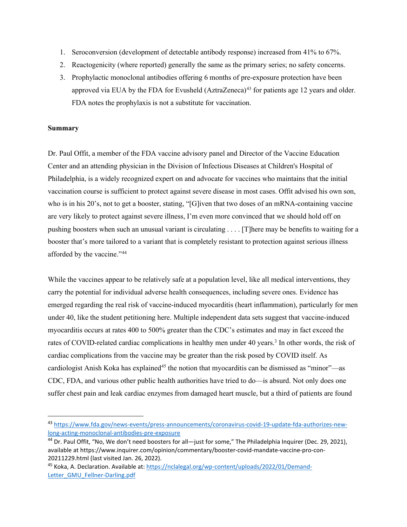- 1. Seroconversion (development of detectable antibody response) increased from 41% to 67%.
- 2. Reactogenicity (where reported) generally the same as the primary series; no safety concerns.
- 3. Prophylactic monoclonal antibodies offering 6 months of pre-exposure protection have been approved via EUA by the FDA for Evusheld (AztraZeneca)<sup>[43](#page-13-0)</sup> for patients age 12 years and older. FDA notes the prophylaxis is not a substitute for vaccination.

### **Summary**

Dr. Paul Offit, a member of the FDA vaccine advisory panel and Director of the Vaccine Education Center and an attending physician in the Division of Infectious Diseases at Children's Hospital of Philadelphia, is a widely recognized expert on and advocate for vaccines who maintains that the initial vaccination course is sufficient to protect against severe disease in most cases. Offit advised his own son, who is in his 20's, not to get a booster, stating, "[G]iven that two doses of an mRNA-containing vaccine are very likely to protect against severe illness, I'm even more convinced that we should hold off on pushing boosters when such an unusual variant is circulating . . . . [T]here may be benefits to waiting for a booster that's more tailored to a variant that is completely resistant to protection against serious illness afforded by the vaccine."[44](#page-13-1)

While the vaccines appear to be relatively safe at a population level, like all medical interventions, they carry the potential for individual adverse health consequences, including severe ones. Evidence has emerged regarding the real risk of vaccine-induced myocarditis (heart inflammation), particularly for men under 40, like the student petitioning here. Multiple independent data sets suggest that vaccine-induced myocarditis occurs at rates 400 to 500% greater than the CDC's estimates and may in fact exceed the rates of COVID-related cardiac complications in healthy men under 40 years.<sup>3</sup> In other words, the risk of cardiac complications from the vaccine may be greater than the risk posed by COVID itself. As cardiologist Anish Koka has explained<sup>[45](#page-13-2)</sup> the notion that myocarditis can be dismissed as "minor"—as CDC, FDA, and various other public health authorities have tried to do—is absurd. Not only does one suffer chest pain and leak cardiac enzymes from damaged heart muscle, but a third of patients are found

<span id="page-13-0"></span><sup>43</sup> [https://www.fda.gov/news-events/press-announcements/coronavirus-covid-19-update-fda-authorizes-new](https://www.fda.gov/news-events/press-announcements/coronavirus-covid-19-update-fda-authorizes-new-long-acting-monoclonal-antibodies-pre-exposure)[long-acting-monoclonal-antibodies-pre-exposure](https://www.fda.gov/news-events/press-announcements/coronavirus-covid-19-update-fda-authorizes-new-long-acting-monoclonal-antibodies-pre-exposure)

<span id="page-13-1"></span><sup>44</sup> Dr. Paul Offit, "No, We don't need boosters for all—just for some," The Philadelphia Inquirer (Dec. 29, 2021), available at https://www.inquirer.com/opinion/commentary/booster-covid-mandate-vaccine-pro-con-20211229.html (last visited Jan. 26, 2022).

<span id="page-13-2"></span><sup>45</sup> Koka, A. Declaration. Available at[: https://nclalegal.org/wp-content/uploads/2022/01/Demand-](https://nclalegal.org/wp-content/uploads/2022/01/Demand-Letter_GMU_Fellner-Darling.pdf)[Letter\\_GMU\\_Fellner-Darling.pdf](https://nclalegal.org/wp-content/uploads/2022/01/Demand-Letter_GMU_Fellner-Darling.pdf)